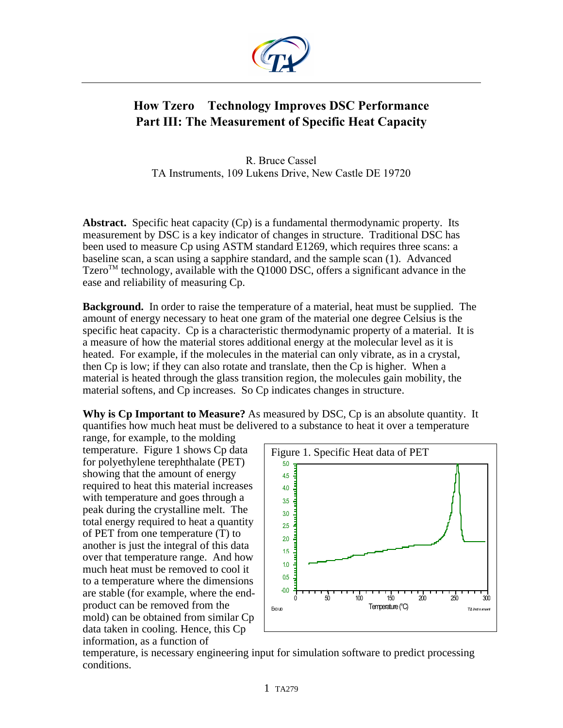

## **How Tzero Technology Improves DSC Performance Part III: The Measurement of Specific Heat Capacity**

R. Bruce Cassel TA Instruments, 109 Lukens Drive, New Castle DE 19720

**Abstract.** Specific heat capacity (Cp) is a fundamental thermodynamic property. Its measurement by DSC is a key indicator of changes in structure. Traditional DSC has been used to measure Cp using ASTM standard E1269, which requires three scans: a baseline scan, a scan using a sapphire standard, and the sample scan (1). Advanced Tzero<sup>TM</sup> technology, available with the Q1000 DSC, offers a significant advance in the ease and reliability of measuring Cp.

**Background.** In order to raise the temperature of a material, heat must be supplied. The amount of energy necessary to heat one gram of the material one degree Celsius is the specific heat capacity. Cp is a characteristic thermodynamic property of a material. It is a measure of how the material stores additional energy at the molecular level as it is heated. For example, if the molecules in the material can only vibrate, as in a crystal, then Cp is low; if they can also rotate and translate, then the Cp is higher. When a material is heated through the glass transition region, the molecules gain mobility, the material softens, and Cp increases. So Cp indicates changes in structure.

**Why is Cp Important to Measure?** As measured by DSC, Cp is an absolute quantity. It quantifies how much heat must be delivered to a substance to heat it over a temperature

range, for example, to the molding temperature. Figure 1 shows Cp data for polyethylene terephthalate (PET) showing that the amount of energy required to heat this material increases with temperature and goes through a peak during the crystalline melt. The total energy required to heat a quantity of PET from one temperature (T) to another is just the integral of this data over that temperature range. And how much heat must be removed to cool it to a temperature where the dimensions are stable (for example, where the endproduct can be removed from the mold) can be obtained from similar Cp data taken in cooling. Hence, this Cp information, as a function of



temperature, is necessary engineering input for simulation software to predict processing conditions.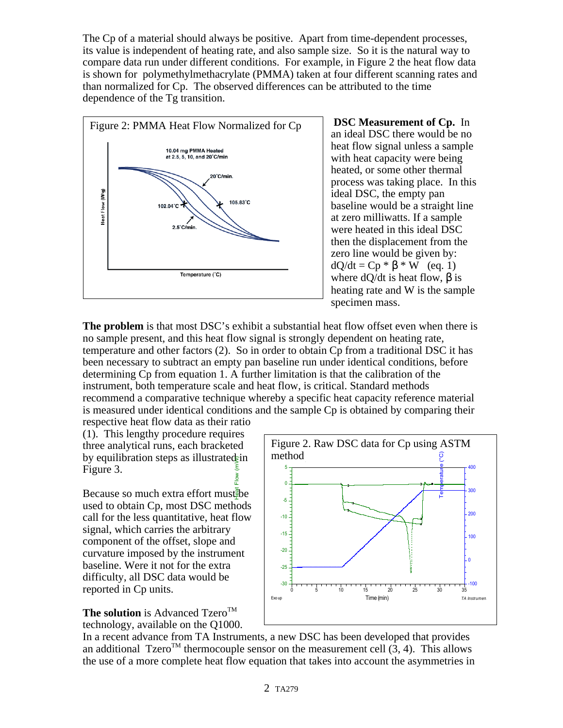The Cp of a material should always be positive. Apart from time-dependent processes, its value is independent of heating rate, and also sample size. So it is the natural way to compare data run under different conditions. For example, in Figure 2 the heat flow data is shown for polymethylmethacrylate (PMMA) taken at four different scanning rates and than normalized for Cp. The observed differences can be attributed to the time dependence of the Tg transition.



 **DSC Measurement of Cp.** In an ideal DSC there would be no heat flow signal unless a sample with heat capacity were being heated, or some other thermal process was taking place. In this ideal DSC, the empty pan baseline would be a straight line at zero milliwatts. If a sample were heated in this ideal DSC then the displacement from the zero line would be given by:  $dQ/dt = Cp * \beta * W$  (eq. 1) where  $dQ/dt$  is heat flow,  $\beta$  is heating rate and W is the sample specimen mass.

**The problem** is that most DSC's exhibit a substantial heat flow offset even when there is no sample present, and this heat flow signal is strongly dependent on heating rate, temperature and other factors (2). So in order to obtain Cp from a traditional DSC it has been necessary to subtract an empty pan baseline run under identical conditions, before determining Cp from equation 1. A further limitation is that the calibration of the instrument, both temperature scale and heat flow, is critical. Standard methods recommend a comparative technique whereby a specific heat capacity reference material is measured under identical conditions and the sample Cp is obtained by comparing their respective heat flow data as their ratio

(1). This lengthy procedure requires three analytical runs, each bracketed by equilibration steps as illustrated in Figure 3. Heat Flow (mW)

Because so much extra effort must be used to obtain Cp, most DSC methods call for the less quantitative, heat flow signal, which carries the arbitrary component of the offset, slope and curvature imposed by the instrument baseline. Were it not for the extra difficulty, all DSC data would be reported in Cp units.

**The solution** is Advanced Tzero<sup>TM</sup> technology, available on the Q1000.



In a recent advance from TA Instruments, a new DSC has been developed that provides an additional Tzero<sup>TM</sup> thermocouple sensor on the measurement cell  $(3, 4)$ . This allows the use of a more complete heat flow equation that takes into account the asymmetries in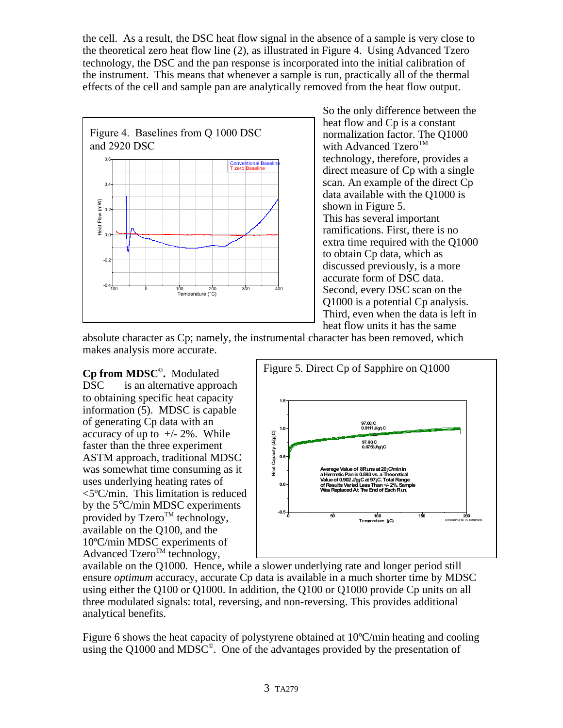the cell. As a result, the DSC heat flow signal in the absence of a sample is very close to the theoretical zero heat flow line (2), as illustrated in Figure 4. Using Advanced Tzero<sup>TM</sup> technology, the DSC and the pan response is incorporated into the initial calibration of the instrument. This means that whenever a sample is run, practically all of the thermal effects of the cell and sample pan are analytically removed from the heat flow output.



So the only difference between the heat flow and Cp is a constant normalization factor. The Q1000 with Advanced Tzero<sup>TM</sup> technology, therefore, provides a direct measure of Cp with a single scan. An example of the direct Cp data available with the Q1000 is shown in Figure 5. This has several important ramifications. First, there is no extra time required with the Q1000 to obtain Cp data, which as discussed previously, is a more accurate form of DSC data. Second, every DSC scan on the Q1000 is a potential Cp analysis. Third, even when the data is left in heat flow units it has the same

absolute character as Cp; namely, the instrumental character has been removed, which makes analysis more accurate.

**Cp from MDSC©.** Modulated  $\overline{\text{DSC}} \otimes^{\tau_{\text{M}}}$  is an alternative approach to obtaining specific heat capacity information (5). MDSC is capable of generating Cp data with an accuracy of up to  $+/- 2\%$ . While faster than the three experiment ASTM approach, traditional MDSC was somewhat time consuming as it uses underlying heating rates of <5ºC/min. This limitation is reduced by the 5°C/min MDSC experiments provided by  $Tzero^{TM}$  technology, available on the Q100, and the 10ºC/min MDSC experiments of Advanced  $Tzero^{TM}$  technology,



available on the Q1000. Hence, while a slower underlying rate and longer period still ensure *optimum* accuracy, accurate Cp data is available in a much shorter time by MDSC using either the Q100 or Q1000. In addition, the Q100 or Q1000 provide Cp units on all three modulated signals: total, reversing, and non-reversing. This provides additional analytical benefits.

Figure 6 shows the heat capacity of polystyrene obtained at 10ºC/min heating and cooling using the Q1000 and MDSC<sup>®</sup>. One of the advantages provided by the presentation of